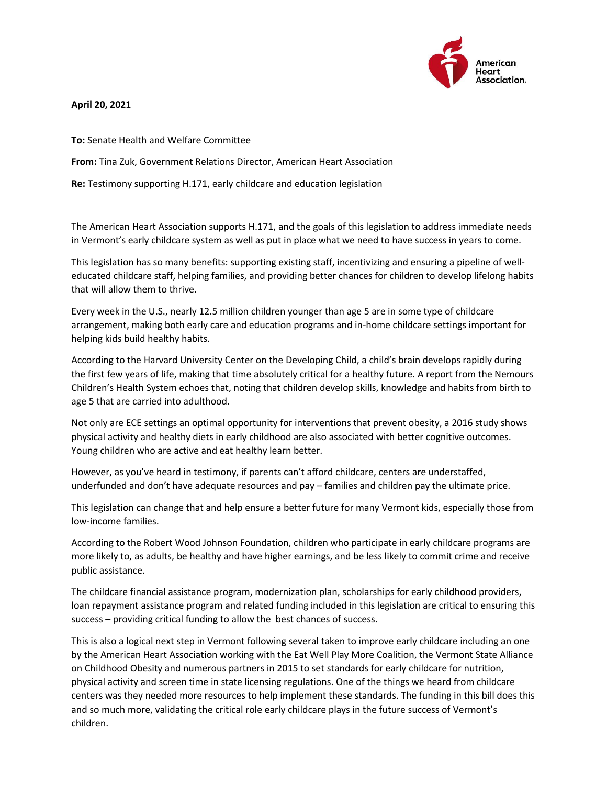

**April 20, 2021**

**To:** Senate Health and Welfare Committee

**From:** Tina Zuk, Government Relations Director, American Heart Association

**Re:** Testimony supporting H.171, early childcare and education legislation

The American Heart Association supports H.171, and the goals of this legislation to address immediate needs in Vermont's early childcare system as well as put in place what we need to have success in years to come.

This legislation has so many benefits: supporting existing staff, incentivizing and ensuring a pipeline of welleducated childcare staff, helping families, and providing better chances for children to develop lifelong habits that will allow them to thrive.

Every week in the U.S., nearly 12.5 million children younger than age 5 are in some type of childcare arrangement, making both early care and education programs and in-home childcare settings important for helping kids build healthy habits.

According to the Harvard University Center on the Developing Child, a child's brain develops rapidly during the first few years of life, making that time absolutely critical for a healthy future. A report from the Nemours Children's Health System echoes that, noting that children develop skills, knowledge and habits from birth to age 5 that are carried into adulthood.

Not only are ECE settings an optimal opportunity for interventions that prevent obesity, a 2016 study shows physical activity and healthy diets in early childhood are also associated with better cognitive outcomes. Young children who are active and eat healthy learn better.

However, as you've heard in testimony, if parents can't afford childcare, centers are understaffed, underfunded and don't have adequate resources and pay – families and children pay the ultimate price.

This legislation can change that and help ensure a better future for many Vermont kids, especially those from low-income families.

According to the Robert Wood Johnson Foundation, children who participate in early childcare programs are more likely to, as adults, be healthy and have higher earnings, and be less likely to commit crime and receive public assistance.

The childcare financial assistance program, modernization plan, scholarships for early childhood providers, loan repayment assistance program and related funding included in this legislation are critical to ensuring this success – providing critical funding to allow the best chances of success.

This is also a logical next step in Vermont following several taken to improve early childcare including an one by the American Heart Association working with the Eat Well Play More Coalition, the Vermont State Alliance on Childhood Obesity and numerous partners in 2015 to set standards for early childcare for nutrition, physical activity and screen time in state licensing regulations. One of the things we heard from childcare centers was they needed more resources to help implement these standards. The funding in this bill does this and so much more, validating the critical role early childcare plays in the future success of Vermont's children.